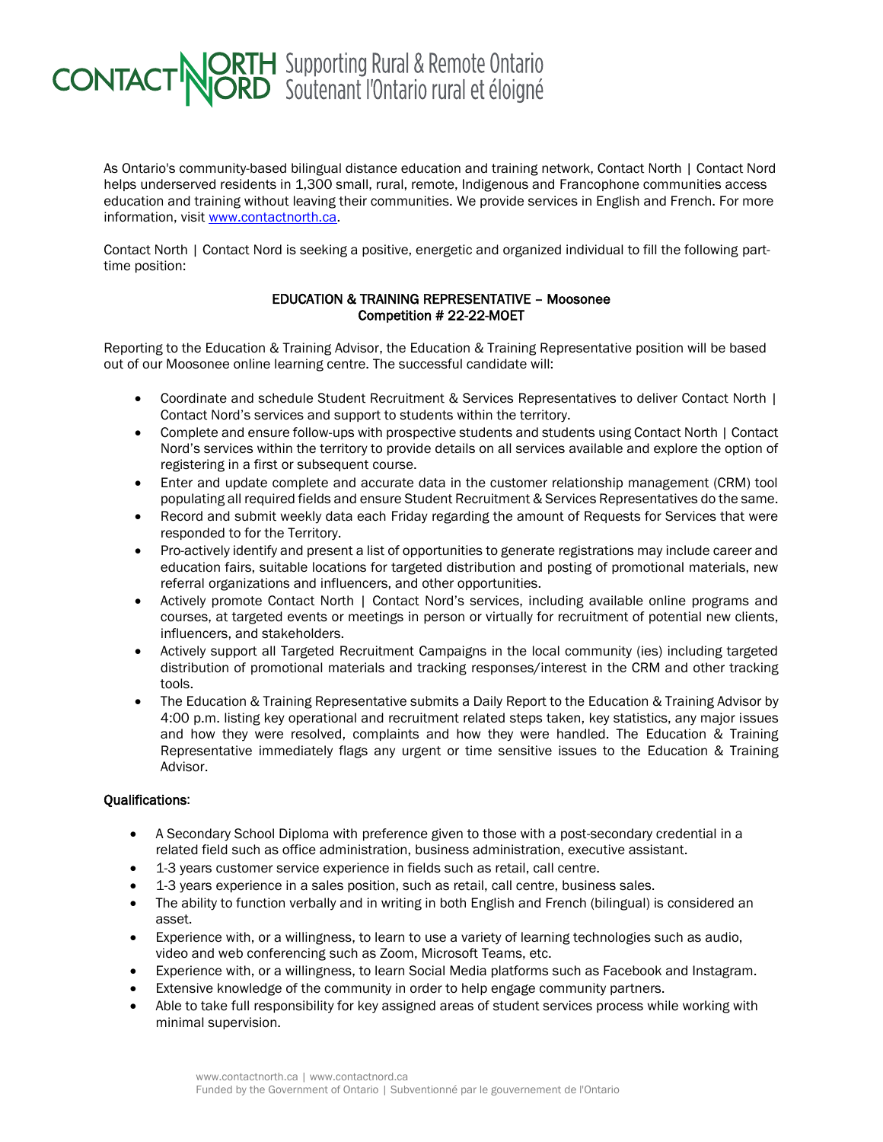## **CONTACT NORTH** Supporting Rural & Remote Ontario

As Ontario's community-based bilingual distance education and training network, Contact North | Contact Nord helps underserved residents in 1,300 small, rural, remote, Indigenous and Francophone communities access education and training without leaving their communities. We provide services in English and French. For more information, visit [www.contactnorth.ca.](http://www.contactnorth.ca/)

Contact North | Contact Nord is seeking a positive, energetic and organized individual to fill the following parttime position:

## EDUCATION & TRAINING REPRESENTATIVE – Moosonee Competition # 22-22-MOET

Reporting to the Education & Training Advisor, the Education & Training Representative position will be based out of our Moosonee online learning centre. The successful candidate will:

- Coordinate and schedule Student Recruitment & Services Representatives to deliver Contact North | Contact Nord's services and support to students within the territory.
- Complete and ensure follow-ups with prospective students and students using Contact North | Contact Nord's services within the territory to provide details on all services available and explore the option of registering in a first or subsequent course.
- Enter and update complete and accurate data in the customer relationship management (CRM) tool populating all required fields and ensure Student Recruitment & Services Representatives do the same.
- Record and submit weekly data each Friday regarding the amount of Requests for Services that were responded to for the Territory.
- Pro-actively identify and present a list of opportunities to generate registrations may include career and education fairs, suitable locations for targeted distribution and posting of promotional materials, new referral organizations and influencers, and other opportunities.
- Actively promote Contact North | Contact Nord's services, including available online programs and courses, at targeted events or meetings in person or virtually for recruitment of potential new clients, influencers, and stakeholders.
- Actively support all Targeted Recruitment Campaigns in the local community (ies) including targeted distribution of promotional materials and tracking responses/interest in the CRM and other tracking tools.
- The Education & Training Representative submits a Daily Report to the Education & Training Advisor by 4:00 p.m. listing key operational and recruitment related steps taken, key statistics, any major issues and how they were resolved, complaints and how they were handled. The Education & Training Representative immediately flags any urgent or time sensitive issues to the Education & Training Advisor.

## Qualifications:

- A Secondary School Diploma with preference given to those with a post-secondary credential in a related field such as office administration, business administration, executive assistant.
- 1-3 years customer service experience in fields such as retail, call centre.
- 1-3 years experience in a sales position, such as retail, call centre, business sales.
- The ability to function verbally and in writing in both English and French (bilingual) is considered an asset.
- Experience with, or a willingness, to learn to use a variety of learning technologies such as audio, video and web conferencing such as Zoom, Microsoft Teams, etc.
- Experience with, or a willingness, to learn Social Media platforms such as Facebook and Instagram.
- Extensive knowledge of the community in order to help engage community partners.
- Able to take full responsibility for key assigned areas of student services process while working with minimal supervision.